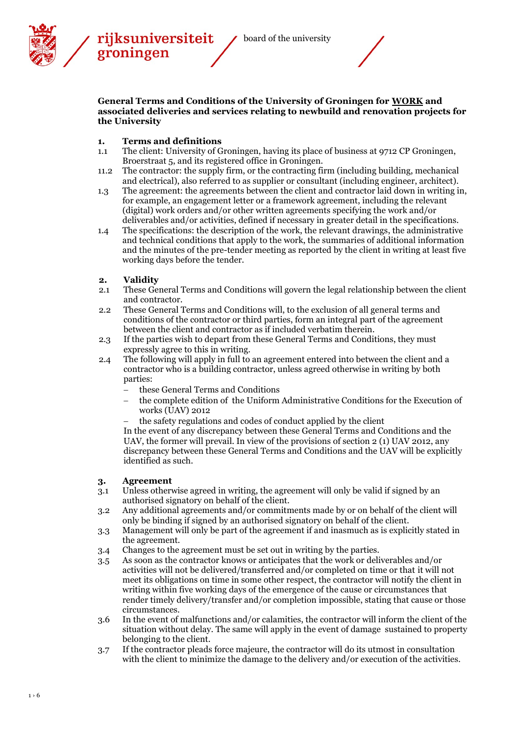

rijksuniversiteit groningen



#### **General Terms and Conditions of the University of Groningen for WORK and associated deliveries and services relating to newbuild and renovation projects for the University**

# **1. Terms and definitions**

- 1.1 The client: University of Groningen, having its place of business at 9712 CP Groningen, Broerstraat 5, and its registered office in Groningen.
- 11.2 The contractor: the supply firm, or the contracting firm (including building, mechanical and electrical), also referred to as supplier or consultant (including engineer, architect).
- 1.3 The agreement: the agreements between the client and contractor laid down in writing in, for example, an engagement letter or a framework agreement, including the relevant (digital) work orders and/or other written agreements specifying the work and/or deliverables and/or activities, defined if necessary in greater detail in the specifications.
- 1.4 The specifications: the description of the work, the relevant drawings, the administrative and technical conditions that apply to the work, the summaries of additional information and the minutes of the pre-tender meeting as reported by the client in writing at least five working days before the tender.

# **2. Validity**

- 2.1 These General Terms and Conditions will govern the legal relationship between the client and contractor.
- 2.2 These General Terms and Conditions will, to the exclusion of all general terms and conditions of the contractor or third parties, form an integral part of the agreement between the client and contractor as if included verbatim therein.
- 2.3 If the parties wish to depart from these General Terms and Conditions, they must expressly agree to this in writing.
- 2.4 The following will apply in full to an agreement entered into between the client and a contractor who is a building contractor, unless agreed otherwise in writing by both parties:
	- these General Terms and Conditions
	- the complete edition of the Uniform Administrative Conditions for the Execution of works (UAV) 2012
	- the safety regulations and codes of conduct applied by the client

In the event of any discrepancy between these General Terms and Conditions and the UAV, the former will prevail. In view of the provisions of section 2 (1) UAV 2012, any discrepancy between these General Terms and Conditions and the UAV will be explicitly identified as such.

### **3. Agreement**

- 3.1 Unless otherwise agreed in writing, the agreement will only be valid if signed by an authorised signatory on behalf of the client.
- 3.2 Any additional agreements and/or commitments made by or on behalf of the client will only be binding if signed by an authorised signatory on behalf of the client.
- 3.3 Management will only be part of the agreement if and inasmuch as is explicitly stated in the agreement.
- 3.4 Changes to the agreement must be set out in writing by the parties.
- 3.5 As soon as the contractor knows or anticipates that the work or deliverables and/or activities will not be delivered/transferred and/or completed on time or that it will not meet its obligations on time in some other respect, the contractor will notify the client in writing within five working days of the emergence of the cause or circumstances that render timely delivery/transfer and/or completion impossible, stating that cause or those circumstances.
- 3.6 In the event of malfunctions and/or calamities, the contractor will inform the client of the situation without delay. The same will apply in the event of damage sustained to property belonging to the client.
- 3.7 If the contractor pleads force majeure, the contractor will do its utmost in consultation with the client to minimize the damage to the delivery and/or execution of the activities.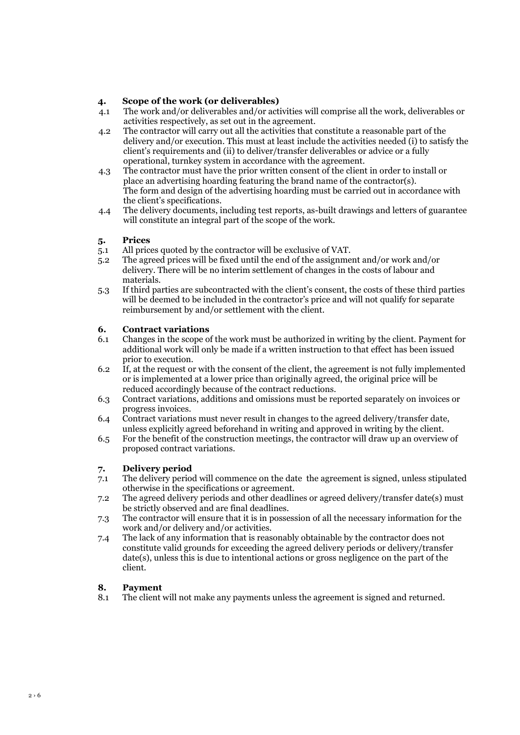# **4. Scope of the work (or deliverables)**

- 4.1 The work and/or deliverables and/or activities will comprise all the work, deliverables or activities respectively, as set out in the agreement.
- 4.2 The contractor will carry out all the activities that constitute a reasonable part of the delivery and/or execution. This must at least include the activities needed (i) to satisfy the client's requirements and (ii) to deliver/transfer deliverables or advice or a fully operational, turnkey system in accordance with the agreement.
- 4.3 The contractor must have the prior written consent of the client in order to install or place an advertising hoarding featuring the brand name of the contractor(s). The form and design of the advertising hoarding must be carried out in accordance with the client's specifications.
- 4.4 The delivery documents, including test reports, as-built drawings and letters of guarantee will constitute an integral part of the scope of the work.

### **5. Prices**

- 5.1 All prices quoted by the contractor will be exclusive of VAT.
- 5.2 The agreed prices will be fixed until the end of the assignment and/or work and/or delivery. There will be no interim settlement of changes in the costs of labour and materials.
- 5.3 If third parties are subcontracted with the client's consent, the costs of these third parties will be deemed to be included in the contractor's price and will not qualify for separate reimbursement by and/or settlement with the client.

# **6. Contract variations**

- 6.1 Changes in the scope of the work must be authorized in writing by the client. Payment for additional work will only be made if a written instruction to that effect has been issued prior to execution.
- 6.2 If, at the request or with the consent of the client, the agreement is not fully implemented or is implemented at a lower price than originally agreed, the original price will be reduced accordingly because of the contract reductions.
- 6.3 Contract variations, additions and omissions must be reported separately on invoices or progress invoices.
- 6.4 Contract variations must never result in changes to the agreed delivery/transfer date, unless explicitly agreed beforehand in writing and approved in writing by the client.
- 6.5 For the benefit of the construction meetings, the contractor will draw up an overview of proposed contract variations.

### **7. Delivery period**

- 7.1 The delivery period will commence on the date the agreement is signed, unless stipulated otherwise in the specifications or agreement.
- 7.2 The agreed delivery periods and other deadlines or agreed delivery/transfer date(s) must be strictly observed and are final deadlines.
- 7.3 The contractor will ensure that it is in possession of all the necessary information for the work and/or delivery and/or activities.
- 7.4 The lack of any information that is reasonably obtainable by the contractor does not constitute valid grounds for exceeding the agreed delivery periods or delivery/transfer date(s), unless this is due to intentional actions or gross negligence on the part of the client.

### **8. Payment**

8.1 The client will not make any payments unless the agreement is signed and returned.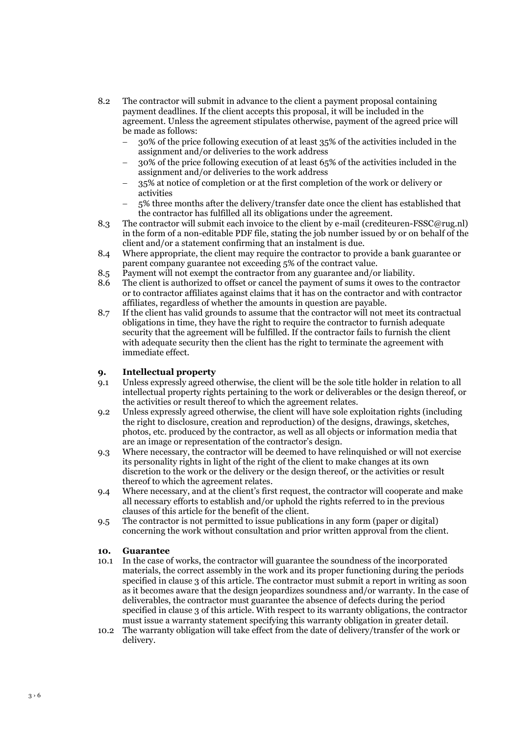- 8.2 The contractor will submit in advance to the client a payment proposal containing payment deadlines. If the client accepts this proposal, it will be included in the agreement. Unless the agreement stipulates otherwise, payment of the agreed price will be made as follows:
	- 30% of the price following execution of at least 35% of the activities included in the assignment and/or deliveries to the work address
	- 30% of the price following execution of at least 65% of the activities included in the assignment and/or deliveries to the work address
	- 35% at notice of completion or at the first completion of the work or delivery or activities
	- 5% three months after the delivery/transfer date once the client has established that the contractor has fulfilled all its obligations under the agreement.
- 8.3 The contractor will submit each invoice to the client by e-mail (crediteuren-FSSC@rug.nl) in the form of a non-editable PDF file, stating the job number issued by or on behalf of the client and/or a statement confirming that an instalment is due.
- 8.4 Where appropriate, the client may require the contractor to provide a bank guarantee or parent company guarantee not exceeding 5% of the contract value.
- 8.5 Payment will not exempt the contractor from any guarantee and/or liability.
- 8.6 The client is authorized to offset or cancel the payment of sums it owes to the contractor or to contractor affiliates against claims that it has on the contractor and with contractor affiliates, regardless of whether the amounts in question are payable.
- 8.7 If the client has valid grounds to assume that the contractor will not meet its contractual obligations in time, they have the right to require the contractor to furnish adequate security that the agreement will be fulfilled. If the contractor fails to furnish the client with adequate security then the client has the right to terminate the agreement with immediate effect.

## **9. Intellectual property**

- 9.1 Unless expressly agreed otherwise, the client will be the sole title holder in relation to all intellectual property rights pertaining to the work or deliverables or the design thereof, or the activities or result thereof to which the agreement relates.
- 9.2 Unless expressly agreed otherwise, the client will have sole exploitation rights (including the right to disclosure, creation and reproduction) of the designs, drawings, sketches, photos, etc. produced by the contractor, as well as all objects or information media that are an image or representation of the contractor's design.
- 9.3 Where necessary, the contractor will be deemed to have relinquished or will not exercise its personality rights in light of the right of the client to make changes at its own discretion to the work or the delivery or the design thereof, or the activities or result thereof to which the agreement relates.
- 9.4 Where necessary, and at the client's first request, the contractor will cooperate and make all necessary efforts to establish and/or uphold the rights referred to in the previous clauses of this article for the benefit of the client.
- 9.5 The contractor is not permitted to issue publications in any form (paper or digital) concerning the work without consultation and prior written approval from the client.

### **10. Guarantee**

- 10.1 In the case of works, the contractor will guarantee the soundness of the incorporated materials, the correct assembly in the work and its proper functioning during the periods specified in clause 3 of this article. The contractor must submit a report in writing as soon as it becomes aware that the design jeopardizes soundness and/or warranty. In the case of deliverables, the contractor must guarantee the absence of defects during the period specified in clause 3 of this article. With respect to its warranty obligations, the contractor must issue a warranty statement specifying this warranty obligation in greater detail.
- 10.2 The warranty obligation will take effect from the date of delivery/transfer of the work or delivery.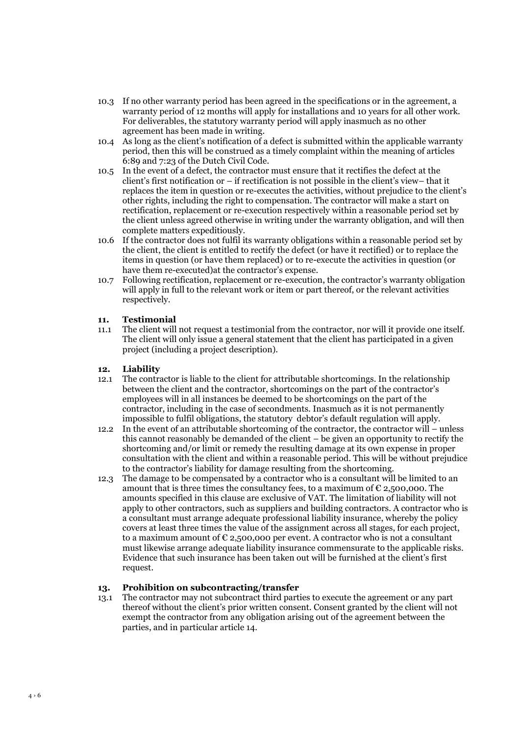- 10.3 If no other warranty period has been agreed in the specifications or in the agreement, a warranty period of 12 months will apply for installations and 10 years for all other work. For deliverables, the statutory warranty period will apply inasmuch as no other agreement has been made in writing.
- 10.4 As long as the client's notification of a defect is submitted within the applicable warranty period, then this will be construed as a timely complaint within the meaning of articles 6:89 and 7:23 of the Dutch Civil Code.
- 10.5 In the event of a defect, the contractor must ensure that it rectifies the defect at the client's first notification or – if rectification is not possible in the client's view– that it replaces the item in question or re-executes the activities, without prejudice to the client's other rights, including the right to compensation. The contractor will make a start on rectification, replacement or re-execution respectively within a reasonable period set by the client unless agreed otherwise in writing under the warranty obligation, and will then complete matters expeditiously.
- 10.6 If the contractor does not fulfil its warranty obligations within a reasonable period set by the client, the client is entitled to rectify the defect (or have it rectified) or to replace the items in question (or have them replaced) or to re-execute the activities in question (or have them re-executed)at the contractor's expense.
- 10.7 Following rectification, replacement or re-execution, the contractor's warranty obligation will apply in full to the relevant work or item or part thereof, or the relevant activities respectively.

### **11. Testimonial**

11.1 The client will not request a testimonial from the contractor, nor will it provide one itself. The client will only issue a general statement that the client has participated in a given project (including a project description).

## **12. Liability**

- 12.1 The contractor is liable to the client for attributable shortcomings. In the relationship between the client and the contractor, shortcomings on the part of the contractor's employees will in all instances be deemed to be shortcomings on the part of the contractor, including in the case of secondments. Inasmuch as it is not permanently impossible to fulfil obligations, the statutory debtor's default regulation will apply.
- 12.2 In the event of an attributable shortcoming of the contractor, the contractor will unless this cannot reasonably be demanded of the client – be given an opportunity to rectify the shortcoming and/or limit or remedy the resulting damage at its own expense in proper consultation with the client and within a reasonable period. This will be without prejudice to the contractor's liability for damage resulting from the shortcoming.
- 12.3 The damage to be compensated by a contractor who is a consultant will be limited to an amount that is three times the consultancy fees, to a maximum of  $\epsilon$  2,500,000. The amounts specified in this clause are exclusive of VAT. The limitation of liability will not apply to other contractors, such as suppliers and building contractors. A contractor who is a consultant must arrange adequate professional liability insurance, whereby the policy covers at least three times the value of the assignment across all stages, for each project, to a maximum amount of  $\epsilon$  2,500,000 per event. A contractor who is not a consultant must likewise arrange adequate liability insurance commensurate to the applicable risks. Evidence that such insurance has been taken out will be furnished at the client's first request.

### **13. Prohibition on subcontracting/transfer**

13.1 The contractor may not subcontract third parties to execute the agreement or any part thereof without the client's prior written consent. Consent granted by the client will not exempt the contractor from any obligation arising out of the agreement between the parties, and in particular article 14.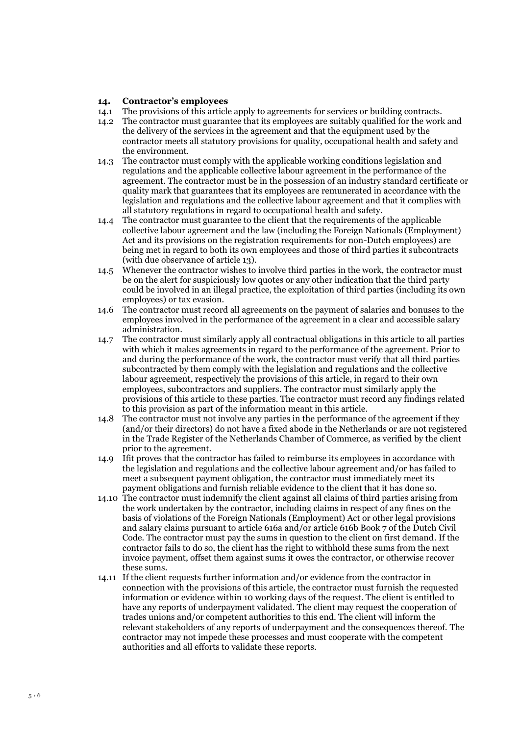#### **14. Contractor's employees**

- 14.1 The provisions of this article apply to agreements for services or building contracts.
- 14.2 The contractor must guarantee that its employees are suitably qualified for the work and the delivery of the services in the agreement and that the equipment used by the contractor meets all statutory provisions for quality, occupational health and safety and the environment.
- 14.3 The contractor must comply with the applicable working conditions legislation and regulations and the applicable collective labour agreement in the performance of the agreement. The contractor must be in the possession of an industry standard certificate or quality mark that guarantees that its employees are remunerated in accordance with the legislation and regulations and the collective labour agreement and that it complies with all statutory regulations in regard to occupational health and safety.
- 14.4 The contractor must guarantee to the client that the requirements of the applicable collective labour agreement and the law (including the Foreign Nationals (Employment) Act and its provisions on the registration requirements for non-Dutch employees) are being met in regard to both its own employees and those of third parties it subcontracts (with due observance of article 13).
- 14.5 Whenever the contractor wishes to involve third parties in the work, the contractor must be on the alert for suspiciously low quotes or any other indication that the third party could be involved in an illegal practice, the exploitation of third parties (including its own employees) or tax evasion.
- 14.6 The contractor must record all agreements on the payment of salaries and bonuses to the employees involved in the performance of the agreement in a clear and accessible salary administration.
- 14.7 The contractor must similarly apply all contractual obligations in this article to all parties with which it makes agreements in regard to the performance of the agreement. Prior to and during the performance of the work, the contractor must verify that all third parties subcontracted by them comply with the legislation and regulations and the collective labour agreement, respectively the provisions of this article, in regard to their own employees, subcontractors and suppliers. The contractor must similarly apply the provisions of this article to these parties. The contractor must record any findings related to this provision as part of the information meant in this article.
- 14.8 The contractor must not involve any parties in the performance of the agreement if they (and/or their directors) do not have a fixed abode in the Netherlands or are not registered in the Trade Register of the Netherlands Chamber of Commerce, as verified by the client prior to the agreement.
- 14.9 Ifit proves that the contractor has failed to reimburse its employees in accordance with the legislation and regulations and the collective labour agreement and/or has failed to meet a subsequent payment obligation, the contractor must immediately meet its payment obligations and furnish reliable evidence to the client that it has done so.
- 14.10 The contractor must indemnify the client against all claims of third parties arising from the work undertaken by the contractor, including claims in respect of any fines on the basis of violations of the Foreign Nationals (Employment) Act or other legal provisions and salary claims pursuant to article 616a and/or article 616b Book 7 of the Dutch Civil Code. The contractor must pay the sums in question to the client on first demand. If the contractor fails to do so, the client has the right to withhold these sums from the next invoice payment, offset them against sums it owes the contractor, or otherwise recover these sums.
- 14.11 If the client requests further information and/or evidence from the contractor in connection with the provisions of this article, the contractor must furnish the requested information or evidence within 10 working days of the request. The client is entitled to have any reports of underpayment validated. The client may request the cooperation of trades unions and/or competent authorities to this end. The client will inform the relevant stakeholders of any reports of underpayment and the consequences thereof. The contractor may not impede these processes and must cooperate with the competent authorities and all efforts to validate these reports.